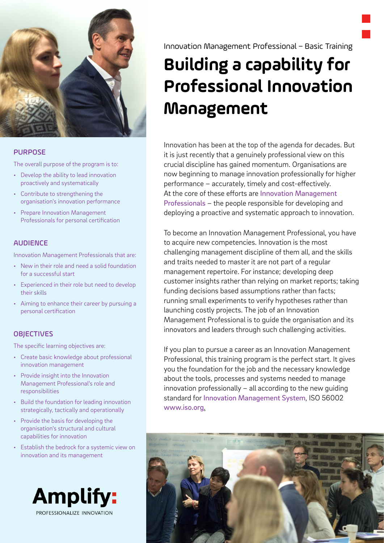

#### PURPOSE

The overall purpose of the program is to:

- Develop the ability to lead innovation proactively and systematically
- Contribute to strengthening the organisation's innovation performance
- Prepare Innovation Management Professionals for personal certification

### AUDIENCE

Innovation Management Professionals that are:

- New in their role and need a solid foundation for a successful start
- Experienced in their role but need to develop their skills
- Aiming to enhance their career by pursuing a personal certification

### **OBJECTIVES**

The specific learning objectives are:

- Create basic knowledge about professional innovation management
- Provide insight into the Innovation Management Professional's role and responsibilities
- Build the foundation for leading innovation strategically, tactically and operationally
- Provide the basis for developing the organisation's structural and cultural capabilities for innovation
- Establish the bedrock for a systemic view on innovation and its management



Innovation Management Professional – Basic Training

# **Building a capability for Professional Innovation Management**

Innovation has been at the top of the agenda for decades. But it is just recently that a genuinely professional view on this crucial discipline has gained momentum. Organisations are now beginning to manage innovation professionally for higher performance – accurately, timely and cost-efectively. At the core of these efforts are Innovation Management [Professionals](https://innovationmanagementsystem.com/professionalizing-innovation-management/) – the people responsible for developing and deploying a proactive and systematic approach to innovation.

To become an Innovation Management Professional, you have to acquire new competencies. Innovation is the most challenging management discipline of them all, and the skills and traits needed to master it are not part of a regular management repertoire. For instance; developing deep customer insights rather than relying on market reports; taking funding decisions based assumptions rather than facts; running small experiments to verify hypotheses rather than launching costly projects. The job of an Innovation Management Professional is to guide the organisation and its innovators and leaders through such challenging activities.

If you plan to pursue a career as an Innovation Management Professional, this training program is the perfect start. It gives you the foundation for the job and the necessary knowledge about the tools, processes and systems needed to manage innovation professionally – all according to the new guiding standard for [Innovation Management System](https://innovationmanagementsystem.com/portfolio-items/iso-56002-innovation-management-system-guidance/), ISO 56002 [www.iso.org](https://www.iso.org/standard/68221.html).